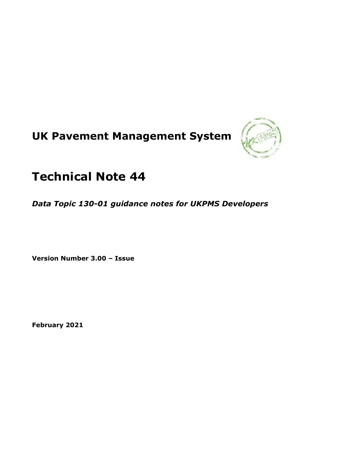# **UK Pavement Management System**



## **Technical Note 44**

*Data Topic 130-01 guidance notes for UKPMS Developers*

**Version Number 3.00 – Issue**

**February 2021**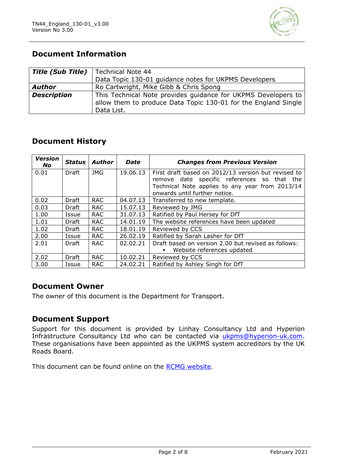

## **Document Information**

|                    | <b>Title (Sub Title)</b>   Technical Note 44                                                                                                  |  |  |
|--------------------|-----------------------------------------------------------------------------------------------------------------------------------------------|--|--|
|                    | Data Topic 130-01 guidance notes for UKPMS Developers                                                                                         |  |  |
| <b>Author</b>      | Ro Cartwright, Mike Gibb & Chris Spong                                                                                                        |  |  |
| <b>Description</b> | This Technical Note provides guidance for UKPMS Developers to<br>allow them to produce Data Topic 130-01 for the England Single<br>Data List. |  |  |

## **Document History**

| <b>Version</b><br>No. | <b>Status</b> | <b>Author</b> | <b>Date</b> | <b>Changes from Previous Version</b>                                             |  |
|-----------------------|---------------|---------------|-------------|----------------------------------------------------------------------------------|--|
| 0.01                  | Draft         | <b>JMG</b>    | 19.06.13    | First draft based on 2012/13 version but revised to                              |  |
|                       |               |               |             | remove date specific references so that the                                      |  |
|                       |               |               |             | Technical Note applies to any year from 2013/14<br>onwards until further notice. |  |
|                       |               |               |             |                                                                                  |  |
| 0.02                  | Draft         | <b>RAC</b>    | 04.07.13    | Transferred to new template.                                                     |  |
| 0.03                  | Draft         | <b>RAC</b>    | 15.07.13    | Reviewed by JMG                                                                  |  |
| 1.00                  | Issue         | <b>RAC</b>    | 31.07.13    | Ratified by Paul Hersey for DfT                                                  |  |
| 1.01                  | Draft         | <b>RAC</b>    | 14.01.19    | The website references have been updated                                         |  |
| 1.02                  | Draft         | <b>RAC</b>    | 18.01.19    | Reviewed by CCS                                                                  |  |
| 2.00                  | Issue         | <b>RAC</b>    | 26.02.19    | Ratified by Sarah Lasher for DfT                                                 |  |
| 2.01                  | Draft         | <b>RAC</b>    | 02.02.21    | Draft based on version 2.00 but revised as follows:                              |  |
|                       |               |               |             | Website references updated                                                       |  |
| 2.02                  | Draft         | <b>RAC</b>    | 10.02.21    | Reviewed by CCS                                                                  |  |
| 3.00                  | Issue         | <b>RAC</b>    | 24.02.21    | Ratified by Ashley Singh for DfT                                                 |  |

### **Document Owner**

The owner of this document is the Department for Transport.

#### **Document Support**

Support for this document is provided by Linhay Consultancy Ltd and Hyperion Infrastructure Consultancy Ltd who can be contacted via [ukpms@hyperion-uk.com.](mailto:ukpms@hyperion-uk.com) These organisations have been appointed as the UKPMS system accreditors by the UK Roads Board.

This document can be found online on the [RCMG website.](https://www.ciht.org.uk/ukrlg-home/guidance/road-condition-information/data-management/uk-pavement-management-system-ukpms/)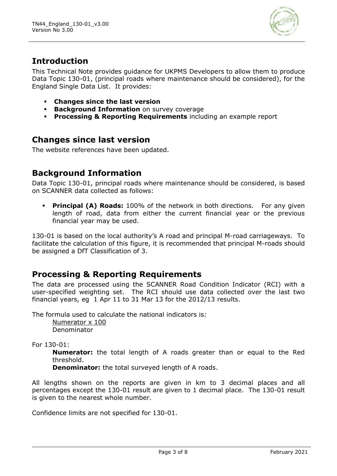

## **Introduction**

This Technical Note provides guidance for UKPMS Developers to allow them to produce Data Topic 130-01, (principal roads where maintenance should be considered), for the England Single Data List. It provides:

- **Changes since the last version**
- **Background Information** on survey coverage
- **Processing & Reporting Requirements** including an example report

## **Changes since last version**

The website references have been updated.

## **Background Information**

Data Topic 130-01, principal roads where maintenance should be considered, is based on SCANNER data collected as follows:

**• Principal (A) Roads:** 100% of the network in both directions. For any given length of road, data from either the current financial year or the previous financial year may be used.

130-01 is based on the local authority's A road and principal M-road carriageways. To facilitate the calculation of this figure, it is recommended that principal M-roads should be assigned a DfT Classification of 3.

## **Processing & Reporting Requirements**

The data are processed using the SCANNER Road Condition Indicator (RCI) with a user-specified weighting set. The RCI should use data collected over the last two financial years, eg 1 Apr 11 to 31 Mar 13 for the 2012/13 results.

The formula used to calculate the national indicators is:

Numerator x 100 Denominator

For 130-01:

**Numerator:** the total length of A roads greater than or equal to the Red threshold.

**Denominator:** the total surveyed length of A roads.

All lengths shown on the reports are given in km to 3 decimal places and all percentages except the 130-01 result are given to 1 decimal place. The 130-01 result is given to the nearest whole number.

Confidence limits are not specified for 130-01.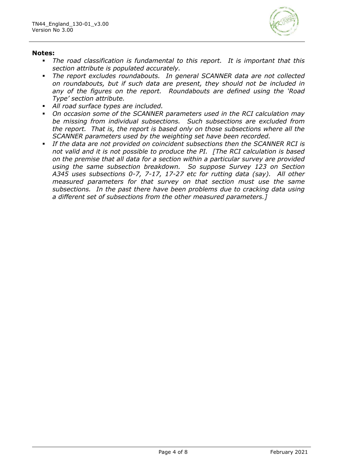

#### **Notes:**

- *The road classification is fundamental to this report. It is important that this section attribute is populated accurately.*
- *The report excludes roundabouts. In general SCANNER data are not collected on roundabouts, but if such data are present, they should not be included in any of the figures on the report. Roundabouts are defined using the 'Road Type' section attribute.*
- *All road surface types are included.*
- *On occasion some of the SCANNER parameters used in the RCI calculation may be missing from individual subsections. Such subsections are excluded from the report. That is, the report is based only on those subsections where all the SCANNER parameters used by the weighting set have been recorded.*
- *If the data are not provided on coincident subsections then the SCANNER RCI is not valid and it is not possible to produce the PI. [The RCI calculation is based on the premise that all data for a section within a particular survey are provided using the same subsection breakdown. So suppose Survey 123 on Section A345 uses subsections 0-7, 7-17, 17-27 etc for rutting data (say). All other measured parameters for that survey on that section must use the same subsections. In the past there have been problems due to cracking data using a different set of subsections from the other measured parameters.]*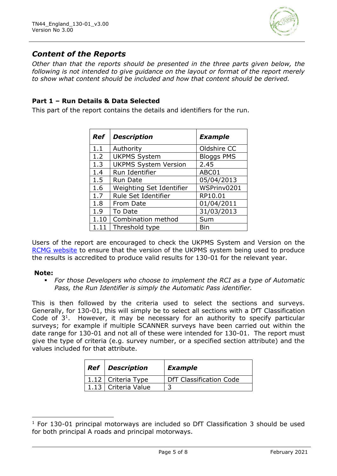

## *Content of the Reports*

*Other than that the reports should be presented in the three parts given below, the following is not intended to give guidance on the layout or format of the report merely to show what content should be included and how that content should be derived.* 

#### **Part 1 – Run Details & Data Selected**

This part of the report contains the details and identifiers for the run.

| Ref  | <b>Description</b>          | <b>Example</b>    |
|------|-----------------------------|-------------------|
| 1.1  | Authority                   | Oldshire CC       |
| 1.2  | <b>UKPMS System</b>         | <b>Bloggs PMS</b> |
| 1.3  | <b>UKPMS System Version</b> | 2.45              |
| 1.4  | Run Identifier              | ABC01             |
| 1.5  | <b>Run Date</b>             | 05/04/2013        |
| 1.6  | Weighting Set Identifier    | WSPrinv0201       |
| 1.7  | Rule Set Identifier         | RP10.01           |
| 1.8  | From Date                   | 01/04/2011        |
| 1.9  | To Date                     | 31/03/2013        |
| 1.10 | Combination method          | Sum               |
| 1.11 | Threshold type              | Bin               |

Users of the report are encouraged to check the UKPMS System and Version on the [RCMG website](https://www.ciht.org.uk/ukrlg-home/guidance/road-condition-information/data-management/uk-pavement-management-system-ukpms/) to ensure that the version of the UKPMS system being used to produce the results is accredited to produce valid results for 130-01 for the relevant year.

#### **Note:**

▪ *For those Developers who choose to implement the RCI as a type of Automatic Pass, the Run Identifier is simply the Automatic Pass identifier.*

This is then followed by the criteria used to select the sections and surveys. Generally, for 130-01, this will simply be to select all sections with a DfT Classification Code of  $3<sup>1</sup>$ . However, it may be necessary for an authority to specify particular surveys; for example if multiple SCANNER surveys have been carried out within the date range for 130-01 and not all of these were intended for 130-01. The report must give the type of criteria (e.g. survey number, or a specified section attribute) and the values included for that attribute.

| <b>Ref</b> Description | <b>Example</b>                 |
|------------------------|--------------------------------|
| 1.12   Criteria Type   | <b>DfT Classification Code</b> |
| 1.13   Criteria Value  |                                |

 $1$  For 130-01 principal motorways are included so DfT Classification 3 should be used for both principal A roads and principal motorways.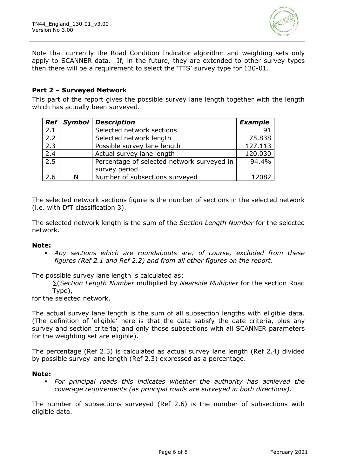

Note that currently the Road Condition Indicator algorithm and weighting sets only apply to SCANNER data. If, in the future, they are extended to other survey types then there will be a requirement to select the 'TTS' survey type for 130-01.

#### **Part 2 – Surveyed Network**

This part of the report gives the possible survey lane length together with the length which has actually been surveyed.

| $\mathbf{Ref}$   | <b>Symbol</b> | <b>Description</b>                         | <b>Example</b> |
|------------------|---------------|--------------------------------------------|----------------|
| 2.1              |               | Selected network sections                  | 91             |
| 2.2              |               | Selected network length                    | 75.838         |
| 2.3              |               | Possible survey lane length                | 127.113        |
| $\overline{2.4}$ |               | Actual survey lane length                  | 120.030        |
| 2.5              |               | Percentage of selected network surveyed in | 94.4%          |
|                  |               | survey period                              |                |
| 2.6              | N             | Number of subsections surveyed             | 12082          |

The selected network sections figure is the number of sections in the selected network (i.e. with DfT classification 3).

The selected network length is the sum of the *Section Length Number* for the selected network.

#### **Note:**

Any sections which are roundabouts are, of course, excluded from these *figures (Ref 2.1 and Ref 2.2) and from all other figures on the report.*

The possible survey lane length is calculated as:

∑(*Section Length Number* multiplied by *Nearside Multiplier* for the section Road Type),

for the selected network.

The actual survey lane length is the sum of all subsection lengths with eligible data. (The definition of 'eligible' here is that the data satisfy the date criteria, plus any survey and section criteria; and only those subsections with all SCANNER parameters for the weighting set are eligible).

The percentage (Ref 2.5) is calculated as actual survey lane length (Ref 2.4) divided by possible survey lane length (Ref 2.3) expressed as a percentage.

#### **Note:**

▪ *For principal roads this indicates whether the authority has achieved the coverage requirements (as principal roads are surveyed in both directions).*

The number of subsections surveyed (Ref 2.6) is the number of subsections with eligible data.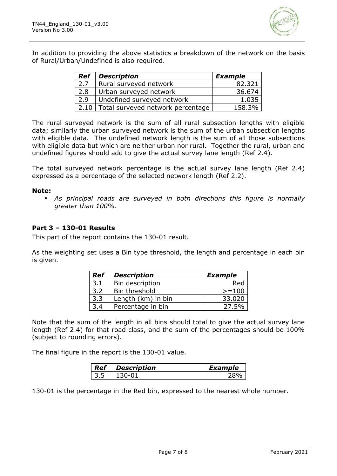

In addition to providing the above statistics a breakdown of the network on the basis of Rural/Urban/Undefined is also required.

| Ref  | <b>Description</b>                | <b>Example</b> |
|------|-----------------------------------|----------------|
| 2.7  | Rural surveyed network            | 82.321         |
| 2.8  | Urban surveyed network            | 36.674         |
| 2.9  | Undefined surveyed network        | 1.035          |
| 2.10 | Total surveyed network percentage | 158.3%         |

The rural surveyed network is the sum of all rural subsection lengths with eligible data; similarly the urban surveyed network is the sum of the urban subsection lengths with eligible data. The undefined network length is the sum of all those subsections with eligible data but which are neither urban nor rural. Together the rural, urban and undefined figures should add to give the actual survey lane length (Ref 2.4).

The total surveyed network percentage is the actual survey lane length (Ref 2.4) expressed as a percentage of the selected network length (Ref 2.2).

#### **Note:**

▪ *As principal roads are surveyed in both directions this figure is normally greater than 100%.* 

#### **Part 3 – 130-01 Results**

This part of the report contains the 130-01 result.

As the weighting set uses a Bin type threshold, the length and percentage in each bin is given.

| <b>Ref</b> | <b>Description</b> | <b>Example</b> |
|------------|--------------------|----------------|
| 3.1        | Bin description    | Red            |
| 3.2        | Bin threshold      | $>=100$        |
| 3.3        | Length (km) in bin | 33.020         |
| 3.4        | Percentage in bin  | 27.5%          |

Note that the sum of the length in all bins should total to give the actual survey lane length (Ref 2.4) for that road class, and the sum of the percentages should be 100% (subject to rounding errors).

The final figure in the report is the 130-01 value.

| $\mid$ Ref | <b>Description</b> | Example |
|------------|--------------------|---------|
|            |                    |         |

130-01 is the percentage in the Red bin, expressed to the nearest whole number.